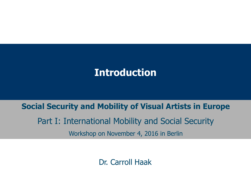### **Introduction**

#### **Social Security and Mobility of Visual Artists in Europe**

# Part I: International Mobility and Social Security

Workshop on November 4, 2016 in Berlin

Dr. Carroll Haak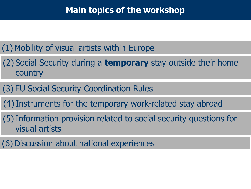#### **Main topics of the workshop**

#### (1) Mobility of visual artists within Europe

- (2) Social Security during a **temporary** stay outside their home country
- (3) EU Social Security Coordination Rules
- (4)Instruments for the temporary work-related stay abroad
- (5)Information provision related to social security questions for visual artists
- (6) Discussion about national experiences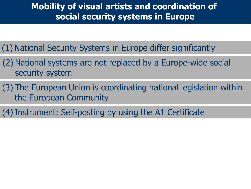#### **Mobility of visual artists and coordination of social security systems in Europe**

(1) National Security Systems in Europe differ significantly

- (2) National systems are not replaced by a Europe-wide social security system
- (3) The European Union is coordinating national legislation within the European Community

(4)Instrument: Self-posting by using the A1 Certificate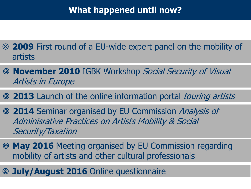#### **What happened until now?**

- **2009** First round of a EU-wide expert panel on the mobility of artists
- **November 2010** IGBK Workshop Social Security of Visual Artists in Europe
- **2013** Launch of the online information portal touring artists
- **2014** Seminar organised by EU Commission Analysis of Adminisrative Practices on Artists Mobility & Social Security/Taxation
- **May 2016** Meeting organised by EU Commission regarding mobility of artists and other cultural professionals
- **July/August 2016** Online questionnaire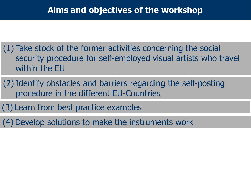- (1) Take stock of the former activities concerning the social security procedure for self-employed visual artists who travel within the EU
- (2)Identify obstacles and barriers regarding the self-posting procedure in the different EU-Countries
- (3) Learn from best practice examples
- (4) Develop solutions to make the instruments work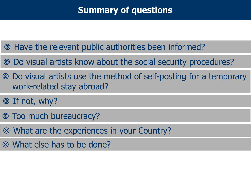#### **Summary of questions**

- Have the relevant public authorities been informed?
- Do visual artists know about the social security procedures?
- Do visual artists use the method of self-posting for a temporary work-related stay abroad?
- ◎ If not, why?
- Too much bureaucracy?
- What are the experiences in your Country?
- What else has to be done?